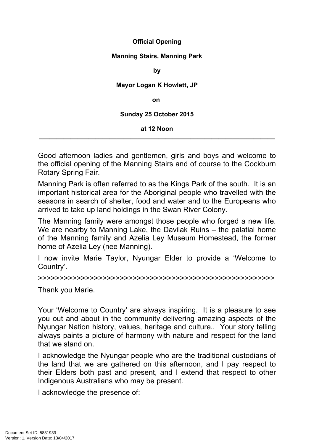# **Official Opening**

## **Manning Stairs, Manning Park**

#### **by**

## **Mayor Logan K Howlett, JP**

**on**

### **Sunday 25 October 2015**

#### **at 12 Noon \_\_\_\_\_\_\_\_\_\_\_\_\_\_\_\_\_\_\_\_\_\_\_\_\_\_\_\_\_\_\_\_\_\_\_\_\_\_\_\_\_\_\_\_\_\_\_\_\_\_\_\_\_\_\_\_\_\_\_\_\_\_\_\_\_\_\_**

Good afternoon ladies and gentlemen, girls and boys and welcome to the official opening of the Manning Stairs and of course to the Cockburn Rotary Spring Fair.

Manning Park is often referred to as the Kings Park of the south. It is an important historical area for the Aboriginal people who travelled with the seasons in search of shelter, food and water and to the Europeans who arrived to take up land holdings in the Swan River Colony.

The Manning family were amongst those people who forged a new life. We are nearby to Manning Lake, the Davilak Ruins – the palatial home of the Manning family and Azelia Ley Museum Homestead, the former home of Azelia Ley (nee Manning).

I now invite Marie Taylor, Nyungar Elder to provide a 'Welcome to Country'.

>>>>>>>>>>>>>>>>>>>>>>>>>>>>>>>>>>>>>>>>>>>>>>>>>>>>>>>

Thank you Marie.

Your 'Welcome to Country' are always inspiring. It is a pleasure to see you out and about in the community delivering amazing aspects of the Nyungar Nation history, values, heritage and culture.. Your story telling always paints a picture of harmony with nature and respect for the land that we stand on.

I acknowledge the Nyungar people who are the traditional custodians of the land that we are gathered on this afternoon, and I pay respect to their Elders both past and present, and I extend that respect to other Indigenous Australians who may be present.

I acknowledge the presence of: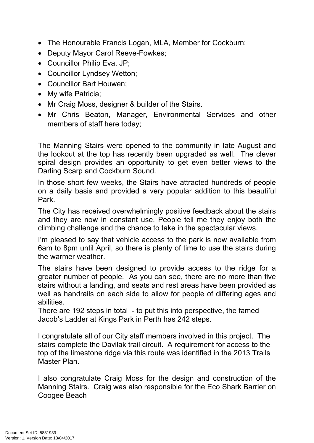- The Honourable Francis Logan, MLA, Member for Cockburn;
- Deputy Mayor Carol Reeve-Fowkes;
- Councillor Philip Eva, JP;
- Councillor Lyndsey Wetton;
- Councillor Bart Houwen;
- My wife Patricia;
- Mr Craig Moss, designer & builder of the Stairs.
- Mr Chris Beaton, Manager, Environmental Services and other members of staff here today;

The Manning Stairs were opened to the community in late August and the lookout at the top has recently been upgraded as well. The clever spiral design provides an opportunity to get even better views to the Darling Scarp and Cockburn Sound.

In those short few weeks, the Stairs have attracted hundreds of people on a daily basis and provided a very popular addition to this beautiful Park.

The City has received overwhelmingly positive feedback about the stairs and they are now in constant use. People tell me they enjoy both the climbing challenge and the chance to take in the spectacular views.

I'm pleased to say that vehicle access to the park is now available from 6am to 8pm until April, so there is plenty of time to use the stairs during the warmer weather.

The stairs have been designed to provide access to the ridge for a greater number of people. As you can see, there are no more than five stairs without a landing, and seats and rest areas have been provided as well as handrails on each side to allow for people of differing ages and abilities.

There are 192 steps in total - to put this into perspective, the famed Jacob's Ladder at Kings Park in Perth has 242 steps.

I congratulate all of our City staff members involved in this project. The stairs complete the Davilak trail circuit. A requirement for access to the top of the limestone ridge via this route was identified in the 2013 Trails Master Plan.

I also congratulate Craig Moss for the design and construction of the Manning Stairs. Craig was also responsible for the Eco Shark Barrier on Coogee Beach